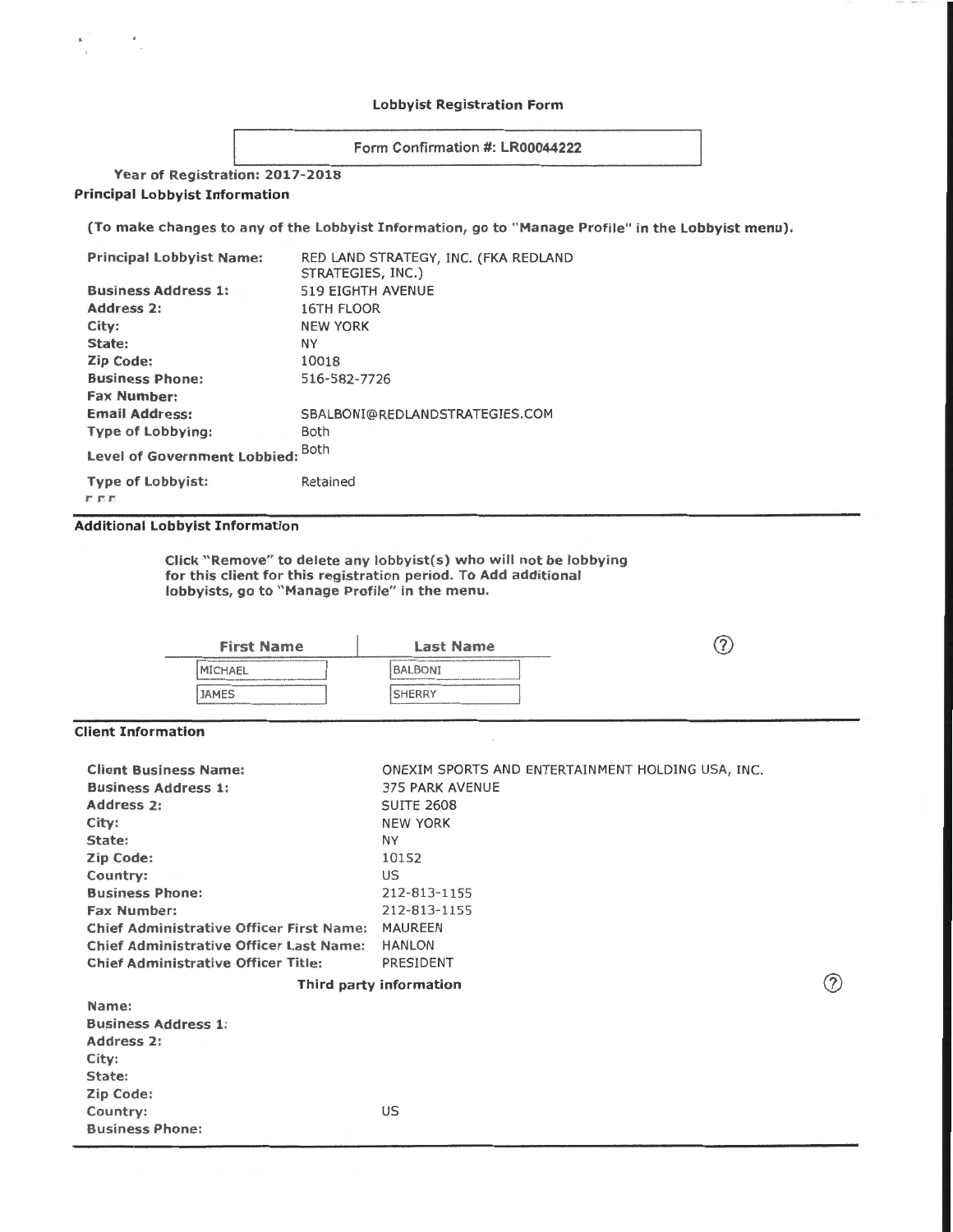### Lobbyist Registration Form

## Form Confirmation #: LR00044222

# Year of Registration: 2017-2018 Principal Lobbyist Information

(To make changes to any of the Lobbyist Information, go to "Manage Profile" in the Lobbyist menu).

| <b>Principal Lobbyist Name:</b>   | RED LAND STRATEGY, INC. (FKA REDLAND<br>STRATEGIES, INC.) |
|-----------------------------------|-----------------------------------------------------------|
| <b>Business Address 1:</b>        | <b>519 EIGHTH AVENUE</b>                                  |
| Address 2:                        | <b>16TH FLOOR</b>                                         |
| City:                             | <b>NEW YORK</b>                                           |
| State:                            | NΥ                                                        |
| Zip Code:                         | 10018                                                     |
| <b>Business Phone:</b>            | 516-582-7726                                              |
| <b>Fax Number:</b>                |                                                           |
| <b>Email Address:</b>             | SBALBONI@REDLANDSTRATEGIES.COM                            |
| <b>Type of Lobbying:</b>          | <b>Both</b>                                               |
| Level of Government Lobbied: Both |                                                           |
| <b>Type of Lobbyist:</b>          | Retained                                                  |

*r* r r:

### Additional lobbyist Information

Click "Remove" to delete any lobbyist(s) who will not be lobbying for this client for this registration period. To Add additional lobbyists, go to "Manage Profile" in the menu.

| <b>First Name</b>                                                                                                                                       | <b>Last Name</b>                                                                                                                                                   | 'n |
|---------------------------------------------------------------------------------------------------------------------------------------------------------|--------------------------------------------------------------------------------------------------------------------------------------------------------------------|----|
| <b>IMICHAEL</b><br>Tourseast Anti-American county independent and provide of the VAP of VAP of Advisor Park to America Assembly as a st<br><b>JAMES</b> | <b>BALBONI</b><br>Top company to the state to be a set of the contract a summer power and one deviate designed in the transport of a summer power<br><b>SHERRY</b> |    |
|                                                                                                                                                         |                                                                                                                                                                    |    |

## Client Information

| <b>Client Business Name:</b>                    | ONEXIM SPORTS AND ENTERTAINMENT HOLDING USA, INC. |     |
|-------------------------------------------------|---------------------------------------------------|-----|
| <b>Business Address 1:</b>                      | <b>375 PARK AVENUE</b>                            |     |
| <b>Address 2:</b>                               | <b>SUITE 2608</b>                                 |     |
| City:                                           | <b>NEW YORK</b>                                   |     |
| State:                                          | NY.                                               |     |
| Zip Code:                                       | 10152                                             |     |
| Country:                                        | <b>US</b>                                         |     |
| <b>Business Phone:</b>                          | 212-813-1155                                      |     |
| <b>Fax Number:</b>                              | 212-813-1155                                      |     |
| <b>Chief Administrative Officer First Name:</b> | <b>MAUREEN</b>                                    |     |
| <b>Chief Administrative Officer Last Name:</b>  | <b>HANLON</b>                                     |     |
| <b>Chief Administrative Officer Title:</b>      | PRESIDENT                                         |     |
|                                                 | Third party information                           | (7) |
| Name:                                           |                                                   |     |
| <b>Business Address 1:</b>                      |                                                   |     |
| Address 2:                                      |                                                   |     |
| City:                                           |                                                   |     |
| State:                                          |                                                   |     |
| Zip Code:                                       |                                                   |     |
| Country:                                        | US.                                               |     |
| <b>Business Phone:</b>                          |                                                   |     |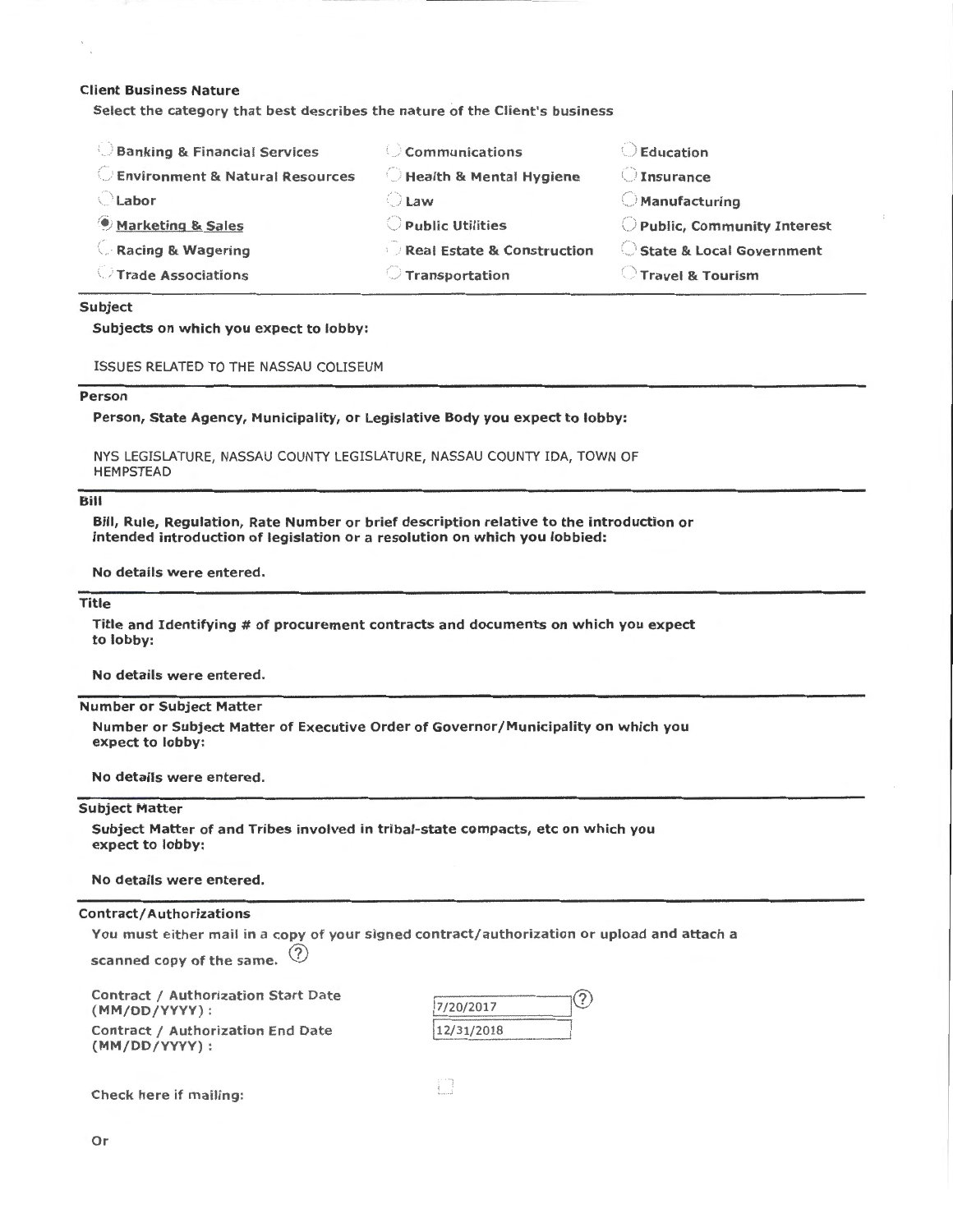### Client Business Nature

Select the category that best describes the nature of the Client's business

| <b>Banking &amp; Financial Services</b>    | $\circ$ Communications                | Education                  |
|--------------------------------------------|---------------------------------------|----------------------------|
| <b>Environment &amp; Natural Resources</b> | Health & Mental Hygiene               | Insurance                  |
| े Labor                                    | $\bigcup$ Law                         | $\bigcirc$ Manufacturing   |
| Marketing & Sales                          | Public Utilities                      | Public, Community Interest |
| Racing & Wagering                          | <b>Real Estate &amp; Construction</b> | State & Local Government   |
| Trade Associations                         | <b>Transportation</b>                 | Travel & Tourism           |
|                                            |                                       |                            |

### Subject

Subjects on which you expect to lobby:

ISSUES RELATED TO THE NASSAU COLISEUM

#### Person

Person, State Agency, Municipality, or Legislative Body you expect to lobby:

NYS LEGISLATURE, NASSAU COUNTY LEGISLATURE, NASSAU COUNTY IDA, TOWN OF HEMPSTEAD

#### Bill

Bill, Rule, Regulation, Rate Number or brief description relative to the introduction or intended introduction of legislation or a resolution on which you lobbied:

No details were entered.

### Title

Title and Identifying # of procurement contracts and documents on which you expect to lobby:

No details were entered.

#### Number or Subject Matter

Number or Subject Matter of Executive Order of Governor/Municipality on which you expect to lobby:

No details were entered.

## Subject Matter

Subject Matter of and Tribes involved in tribal-state compacts, etc on which you expect to lobby:

No details were entered.

#### Contract/ Authorizations

You must either mail in a copy of your signed contract/authorization or upload and attach a

n

scanned copy of the same.  $\langle$ ?

Contract / Authorization Start Date (MM/DD/YYYY): Contract / Authorization End Date (MM/DD/YYYY):

| 7/20/2017  |  |
|------------|--|
| 12/31/2018 |  |

Check here if mailing: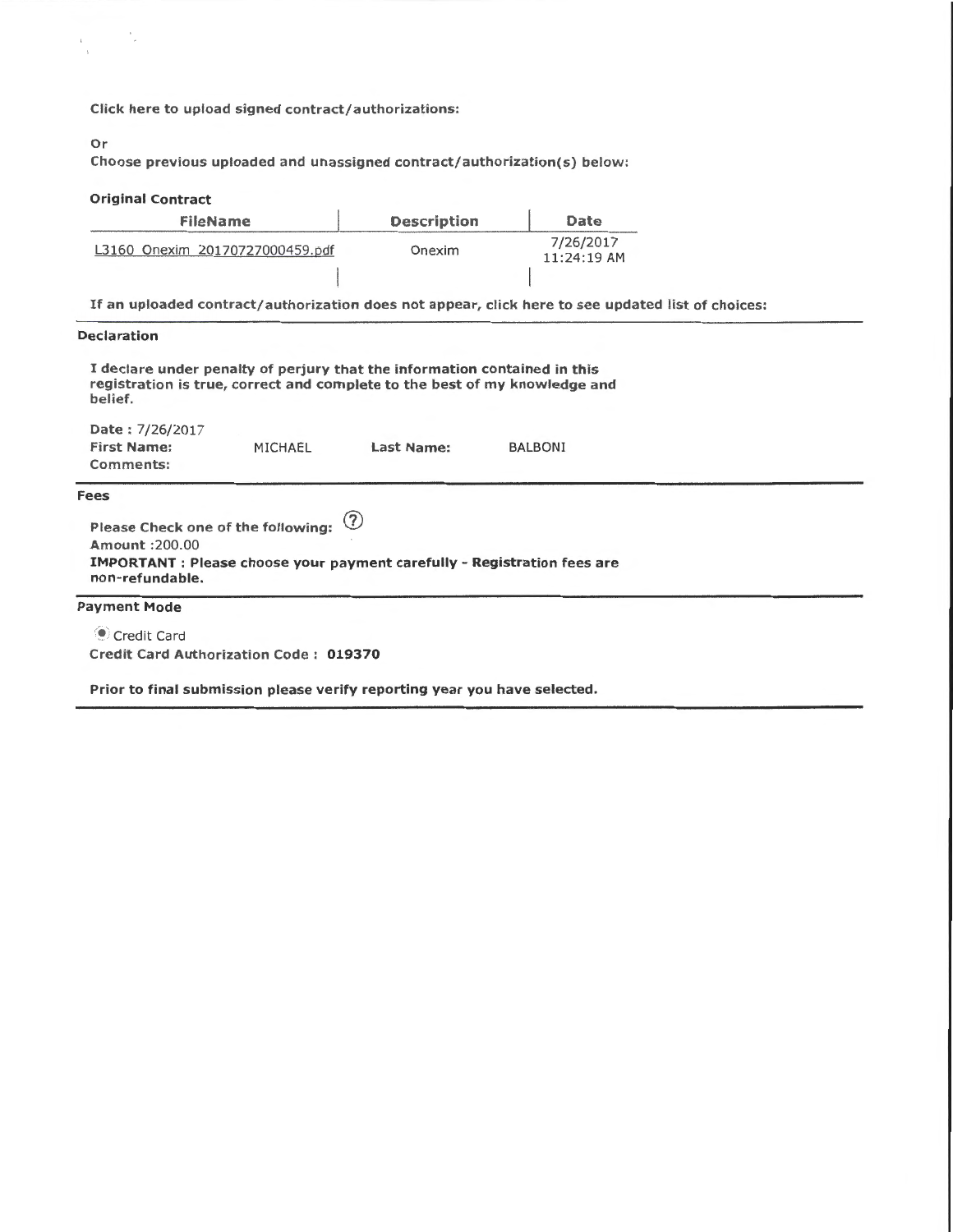Click here to upload signed contract/authorizations:

#### Or

Choose previous uploaded and unassigned contract/authorization(s) below:

### Original Contract FileName L3160 Onexim 20170727000459.pdf Description Onexim Date 7/26/2017 11:24:19 AM If an uploaded contract/authorization does not appear, click here to see updated list of choices: Declaration I declare under penalty of perjury that the information contained in this registration is true, correct and complete to the best of my knowledge and belief. Date : 7/26/2017 First Name: Comments: Fees MICHAEL Please Check one of the following: (?) Amount :200.00 Last Name: BALBONI IMPORTANT: Please choose your payment carefully- Registration fees are

Payment Mode

non-refundable.

• Credit Card Credit Card Authorization Code: 019370

Prior to final submission please verify reporting year you have selected.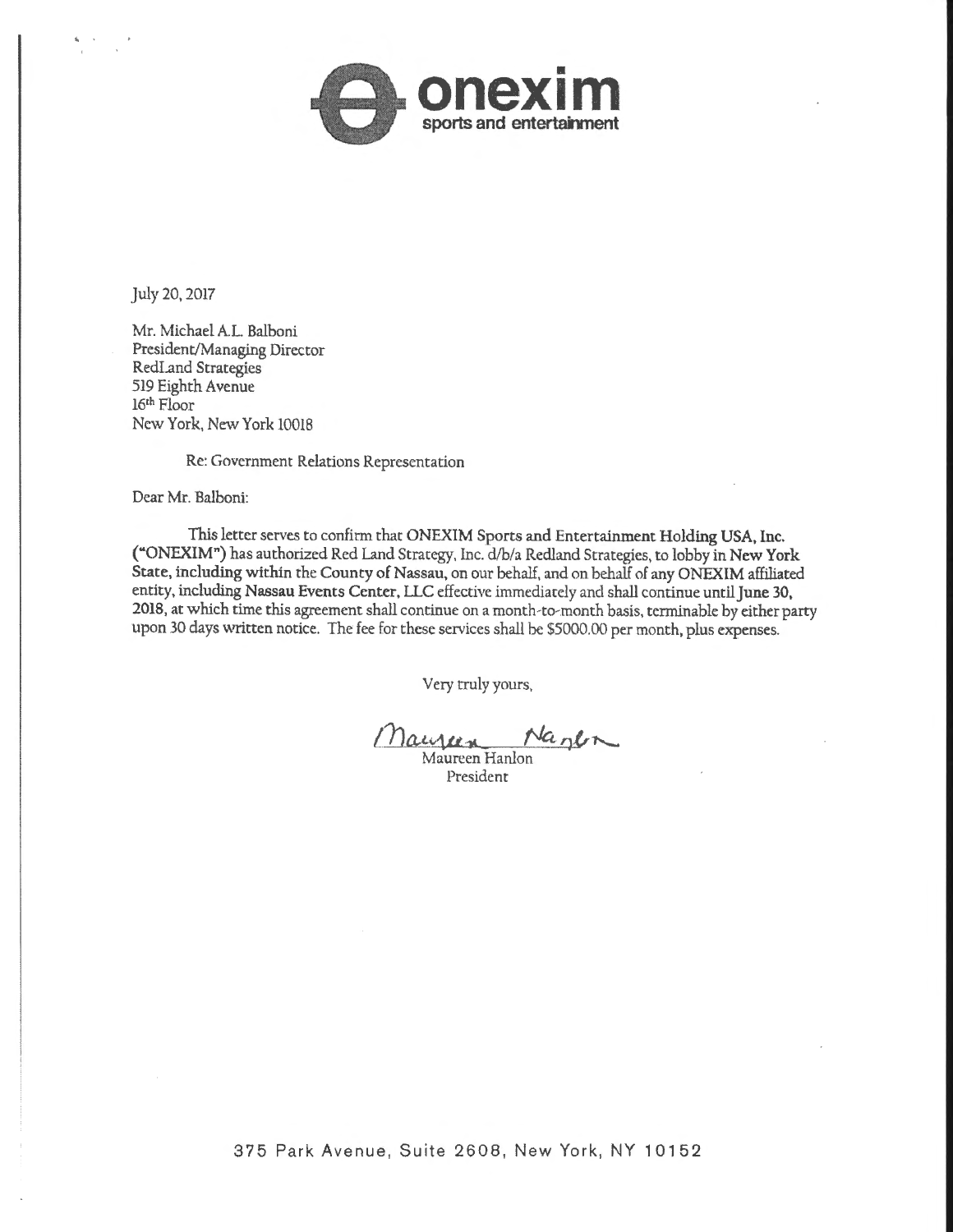

July 20, 2017

Mr. Michael A.L. Balboni President/Managing Director RedLand Strategies 519 Eighth Avenue 16th Floor New York, New York 10018

Re: Government Relations Representation

Dear Mr. Balboni:

This letter serves to confirm that ONEXIM Sports and Entertainment Holding USA, Inc. ("ONEXIM") has authorized Red Land Strategy, Inc. d/b/a Redland Strategies, to lobby in New York State, including within the County of Nassau, on our behalf, and on behalf of any ONEXIM affiliated entity, including Nassau Events Center, LLC effective immediately and shall continue until june 30, 2018, at which time this agreement shall continue on a month-to-month basis, terminable by either party upon 30 days written notice. The fee for these services shall be \$5000.00 per month, plus expenses.

Very truly yours,

Maujeen Nanen

Maureen Hanlon President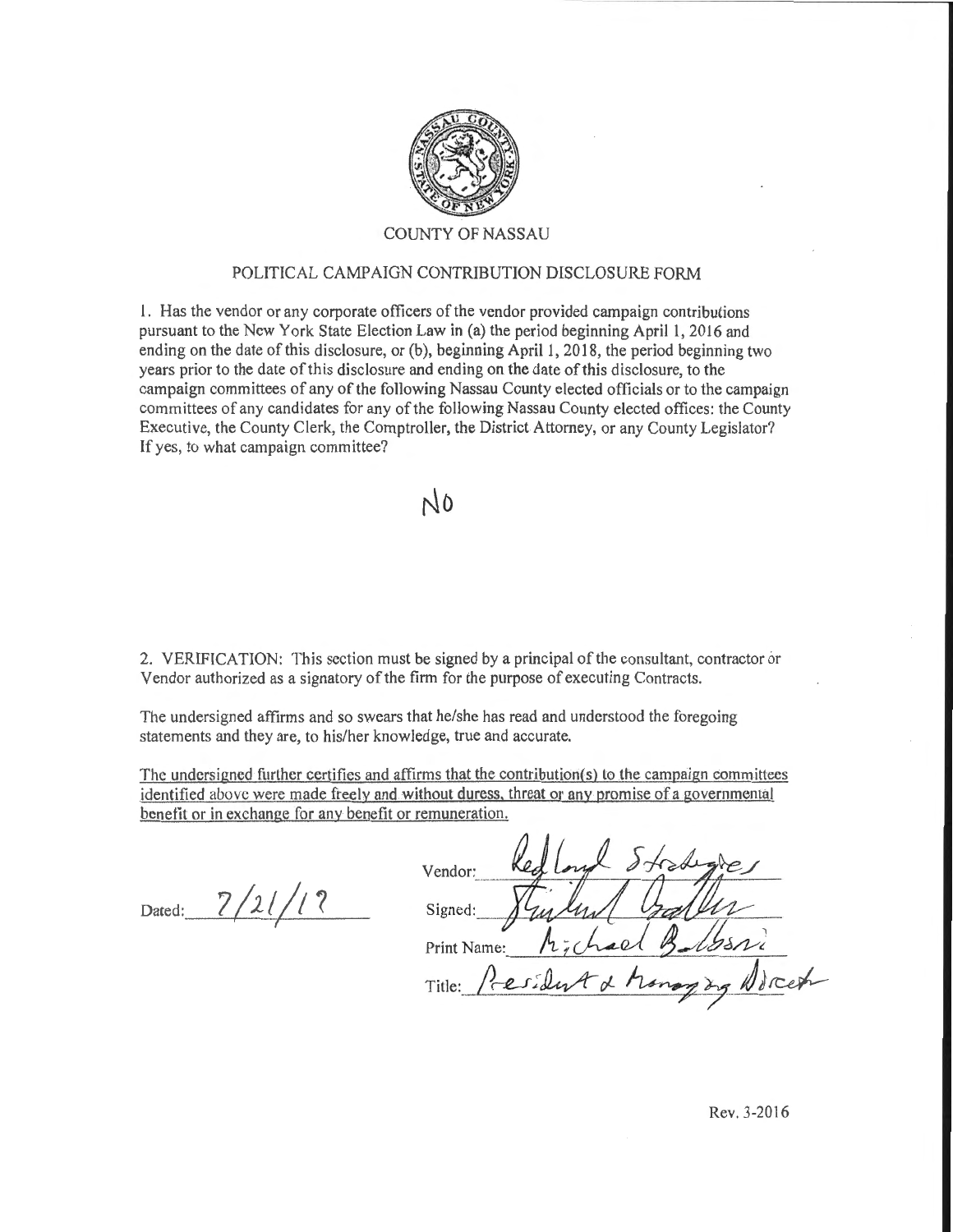

# COUNTY OF NASSAU

## POLITICAL CAMPAIGN CONTRIBUTION DISCLOSURE FORM

1. Has the vendor or any corporate officers of the vendor provided campaign contributions pursuant to the New York State Election Law in (a) the period beginning Aprill, 2016 and ending on the date of this disclosure, or  $(b)$ , beginning April 1, 2018, the period beginning two years prior to the date of this disclosure and ending on the date of this disclosure, to the campaign committees of any of the following Nassau County elected officials or to the campaign committees of any candidates for any of the following Nassau County elected offices: the County Executive, the County Clerk, the Comptroller, the District Attorney, or any County Legislator? If yes, to what campaign committee?

 $N<sub>0</sub>$ 

2. VERIFICATION: This section must be signed by a principal of the consultant, contractor or Vendor authorized as a signatory of the firm for the purpose of executing Contracts.

The undersigned affirms and so swears that he/she has read and understood the foregoing statements and they are, to his/her knowledge, true and accurate.

The undersigned further certifies and affirms that the contribution(s) to the campaign committees identified above were made freely and without duress, threat or anv promise of a governmental benetit or in exchange for any benefit or remuneration.

Dated:  $\frac{7}{11}$ 

| Vendor:                                                 |
|---------------------------------------------------------|
| Signed:                                                 |
| Print Name:                                             |
| cest<br>Fesident & Monog<br>Title:<br>$\lambda_{2}$ No. |
|                                                         |

Rev. 3-2016